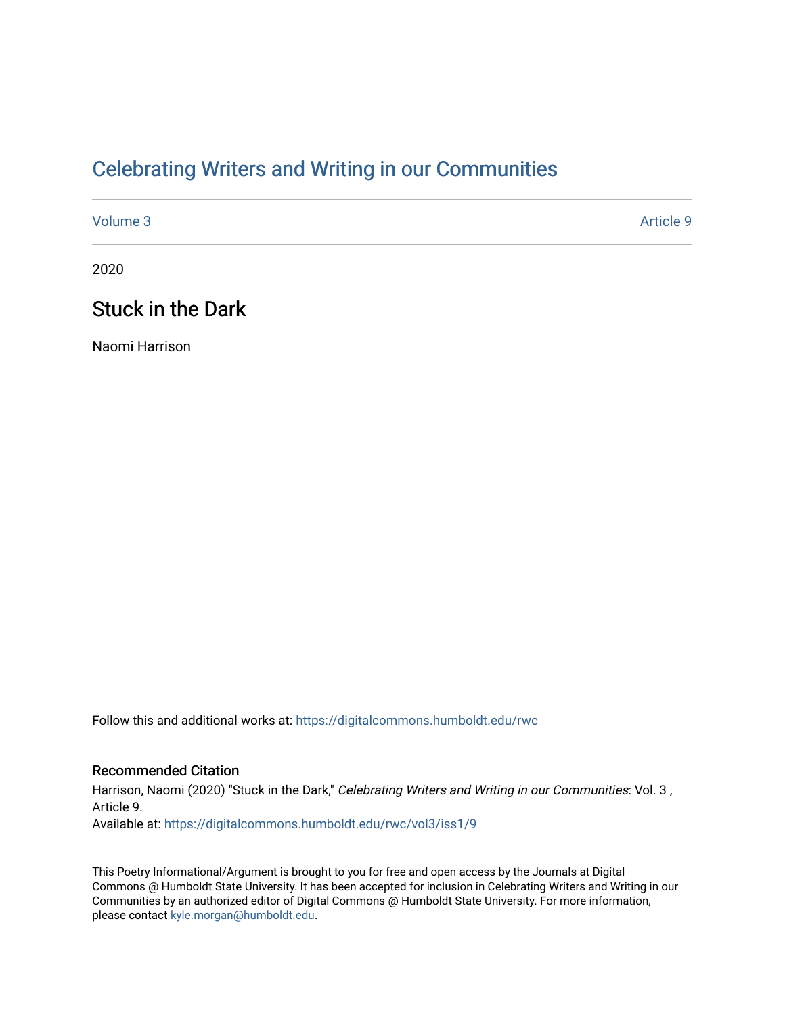## [Celebrating Writers and Writing in our Communities](https://digitalcommons.humboldt.edu/rwc)

[Volume 3](https://digitalcommons.humboldt.edu/rwc/vol3) Article 9

2020

### Stuck in the Dark

Naomi Harrison

Follow this and additional works at: [https://digitalcommons.humboldt.edu/rwc](https://digitalcommons.humboldt.edu/rwc?utm_source=digitalcommons.humboldt.edu%2Frwc%2Fvol3%2Fiss1%2F9&utm_medium=PDF&utm_campaign=PDFCoverPages) 

#### Recommended Citation

Harrison, Naomi (2020) "Stuck in the Dark," Celebrating Writers and Writing in our Communities: Vol. 3, Article 9. Available at: [https://digitalcommons.humboldt.edu/rwc/vol3/iss1/9](https://digitalcommons.humboldt.edu/rwc/vol3/iss1/9?utm_source=digitalcommons.humboldt.edu%2Frwc%2Fvol3%2Fiss1%2F9&utm_medium=PDF&utm_campaign=PDFCoverPages) 

This Poetry Informational/Argument is brought to you for free and open access by the Journals at Digital Commons @ Humboldt State University. It has been accepted for inclusion in Celebrating Writers and Writing in our Communities by an authorized editor of Digital Commons @ Humboldt State University. For more information, please contact [kyle.morgan@humboldt.edu.](mailto:kyle.morgan@humboldt.edu)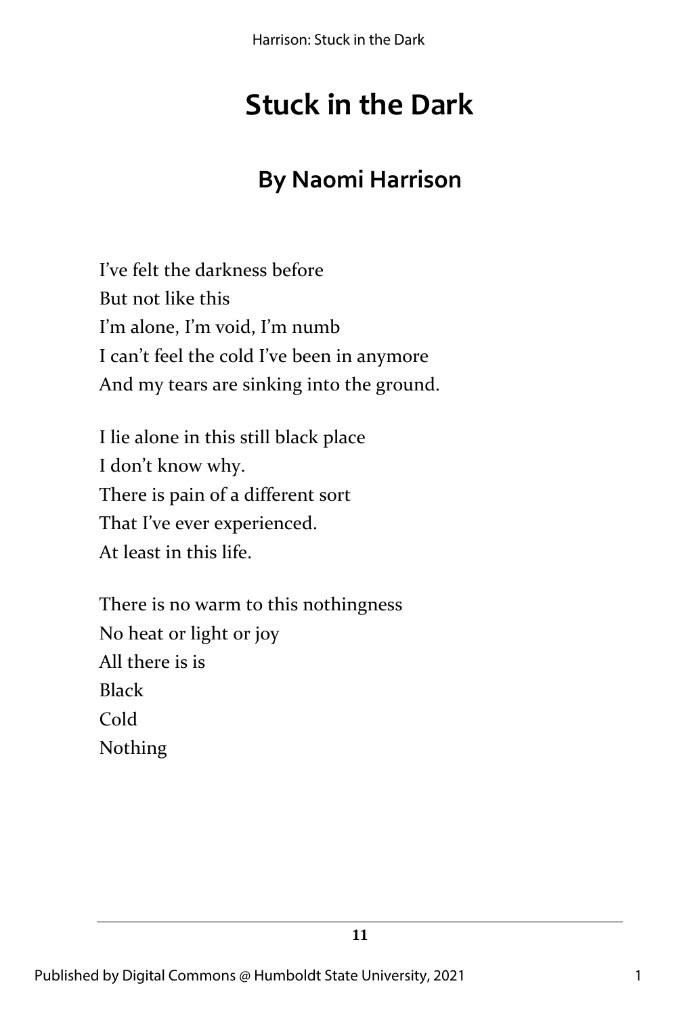Harrison: Stuck in the Dark

# **Stuck in the Dark**

## **By Naomi Harrison**

I've felt the darkness before But not like this I'm alone, I'm void, I'm numb I can't feel the cold I've been in anymore And my tears are sinking into the ground.

I lie alone in this still black place I don't know why. There is pain of a different sort That I've ever experienced. At least in this life.

There is no warm to this nothingness No heat or light or joy All there is is Black Cold Nothing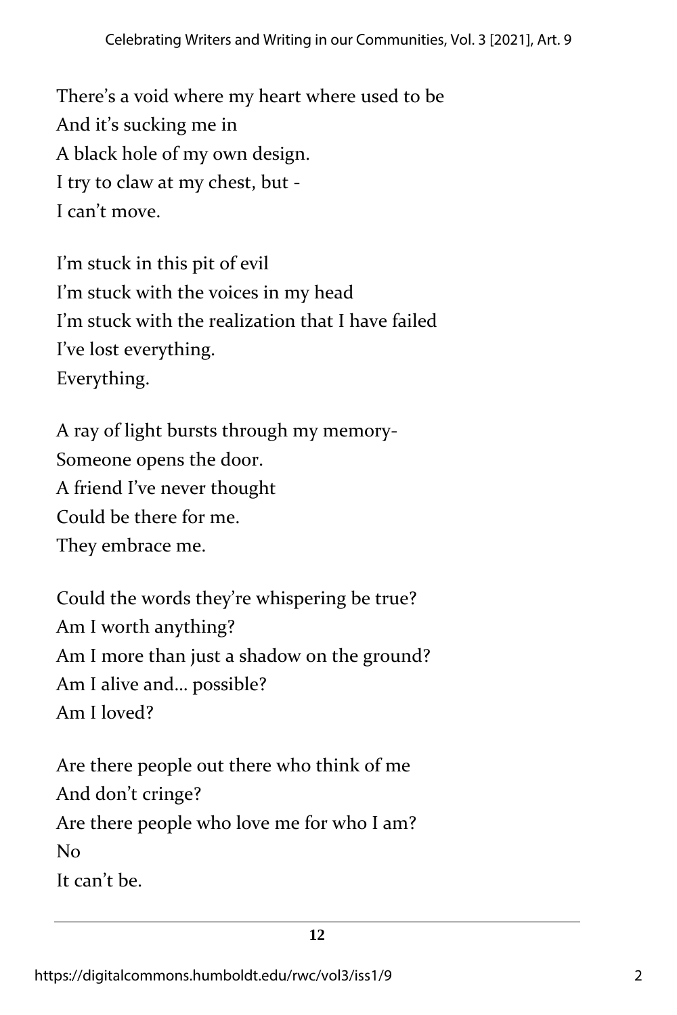There's a void where my heart where used to be And it's sucking me in A black hole of my own design. I try to claw at my chest, but - I can't move.

I'm stuck in this pit of evil I'm stuck with the voices in my head I'm stuck with the realization that I have failed I've lost everything. Everything.

A ray of light bursts through my memory-Someone opens the door. A friend I've never thought Could be there for me. They embrace me.

Could the words they're whispering be true? Am I worth anything? Am I more than just a shadow on the ground? Am I alive and… possible? Am I loved?

Are there people out there who think of me And don't cringe? Are there people who love me for who I am? No It can't be.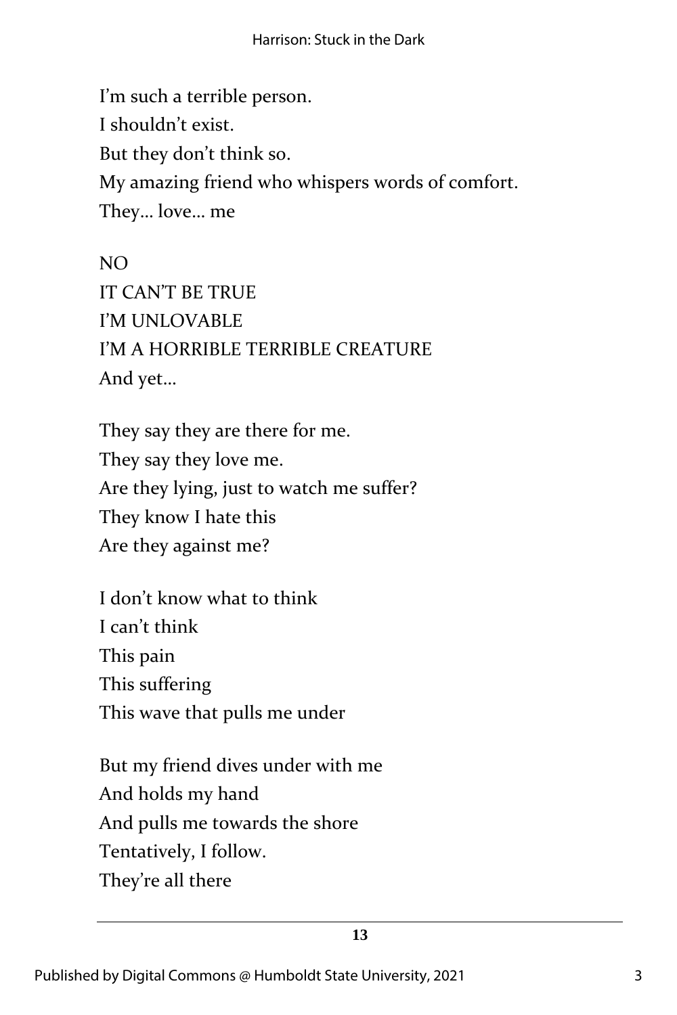I'm such a terrible person. I shouldn't exist. But they don't think so. My amazing friend who whispers words of comfort. They… love… me

NO IT CAN'T BE TRUE I'M UNLOVABLE I'M A HORRIBLE TERRIBLE CREATURE And yet…

They say they are there for me. They say they love me. Are they lying, just to watch me suffer? They know I hate this Are they against me?

I don't know what to think I can't think This pain This suffering This wave that pulls me under

But my friend dives under with me And holds my hand And pulls me towards the shore Tentatively, I follow. They're all there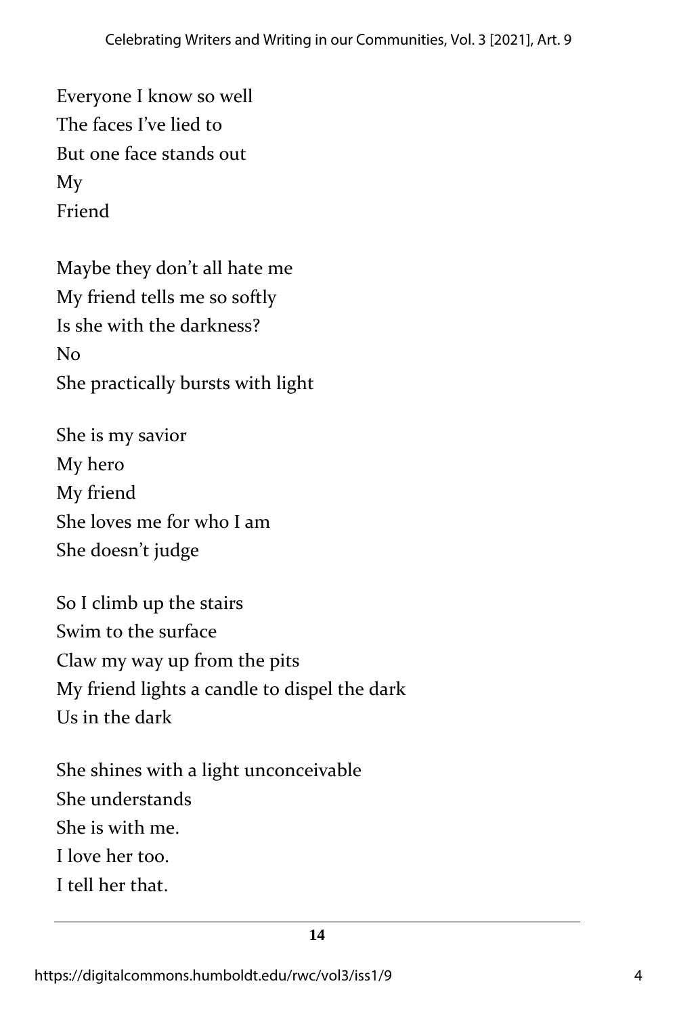Everyone I know so well The faces I've lied to But one face stands out My Friend

Maybe they don't all hate me My friend tells me so softly Is she with the darkness? No She practically bursts with light

She is my savior My hero My friend She loves me for who I am She doesn't judge

So I climb up the stairs Swim to the surface Claw my way up from the pits My friend lights a candle to dispel the dark Us in the dark

She shines with a light unconceivable She understands She is with me. I love her too. I tell her that.